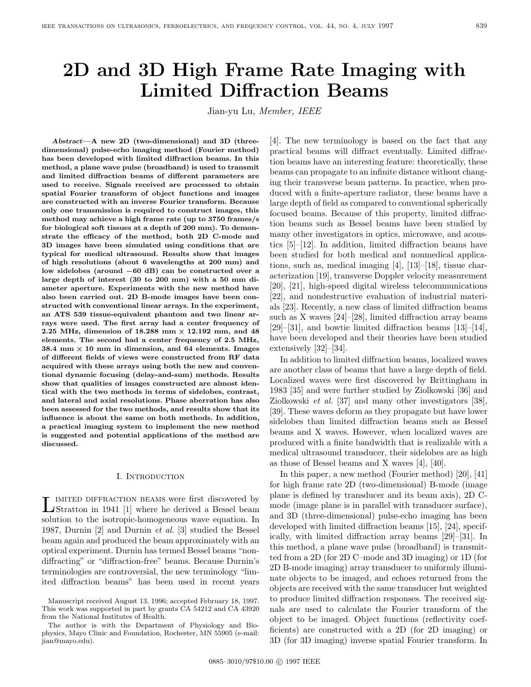# **2D and 3D High Frame Rate Imaging with Limited Diffraction Beams**

Jian-yu Lu, Member, IEEE

*Abstract***—A new 2D (two-dimensional) and 3D (threedimensional) pulse-echo imaging method (Fourier method) has been developed with limited diffraction beams. In this method, a plane wave pulse (broadband) is used to transmit and limited diffraction beams of different parameters are used to receive. Signals received are processed to obtain spatial Fourier transform of object functions and images are constructed with an inverse Fourier transform. Because only one transmission is required to construct images, this method may achieve a high frame rate (up to 3750 frames/s for biological soft tissues at a depth of 200 mm). To demonstrate the efficacy of the method, both 2D C-mode and 3D images have been simulated using conditions that are typical for medical ultrasound. Results show that images of high resolutions (about 6 wavelengths at 200 mm) and low sidelobes (around 60 dB) can be constructed over a large depth of interest (30 to 200 mm) with a 50 mm diameter aperture. Experiments with the new method have also been carried out. 2D B-mode images have been constructed with conventional linear arrays. In the experiment, an ATS 539 tissue-equivalent phantom and two linear arrays were used. The first array had a center frequency of** 2.25 MHz, dimension of  $18.288$  mm  $\times$  12.192 mm, and 48 **elements. The second had a center frequency of 2.5 MHz, 38.4** mm  $\times$  **10** mm in dimension, and 64 elements. Images extensively **of different fields of views were constructed from RF data acquired with these arrays using both the new and conventional dynamic focusing (delay-and-sum) methods. Results show that qualities of images constructed are almost identical with the two methods in terms of sidelobes, contrast, and lateral and axial resolutions. Phase aberration has also been assessed for the two methods, and results show that its influence is about the same on both methods. In addition, a practical imaging system to implement the new method is suggested and potential applications of the method are discussed.**

## I. Introduction

LIMITED DIFFRACTION BEAMS were first discovered by Stratton in 1941 [1] where he derived a Bessel beam solution to the isotropic-homogeneous wave equation. In 1987, Durnin [2] and Durnin et al. [3] studied the Bessel beam again and produced the beam approximately with an optical experiment. Durnin has termed Bessel beams "nondiffracting" or "diffraction-free" beams. Because Durnin's terminologies are controversial, the new terminology "limited diffraction beams" has been used in recent years

**12.192 mm, and 48** [29]–[31], and bowtie limited diffraction beams  $[13]$ –[14], [4]. The new terminology is based on the fact that any practical beams will diffract eventually. Limited diffraction beams have an interesting feature: theoretically, these beams can propagate to an infinite distance without changing their transverse beam patterns. In practice, when produced with a finite-aperture radiator, these beams have a large depth of field as compared to conventional spherically focused beams. Because of this property, limited diffraction beams such as Bessel beams have been studied by many other investigators in optics, microwave, and acoustics [5]–[12]. In addition, limited diffraction beams have been studied for both medical and nonmedical applications, such as, medical imaging [4], [13]–[18], tissue characterization [19], transverse Doppler velocity measurement [20], [21], high-speed digital wireless telecommunications [22], and nondestructive evaluation of industrial materials [23]. Recently, a new class of limited diffraction beams such as X waves [24]–[28], limited diffraction array beams have been developed and their theories have been studied extensively [32]–[34].

> In addition to limited diffraction beams, localized waves are another class of beams that have a large depth of field. Localized waves were first discovered by Brittingham in 1983 [35] and were further studied by Ziolkowski [36] and Ziolkowski et al. [37] and many other investigators [38], [39]. These waves deform as they propagate but have lower sidelobes than limited diffraction beams such as Bessel beams and X waves. However, when localized waves are produced with a finite bandwidth that is realizable with a medical ultrasound transducer, their sidelobes are as high as those of Bessel beams and X waves [4], [40].

> In this paper, a new method (Fourier method) [20], [41] for high frame rate 2D (two-dimensional) B-mode (image plane is defined by transducer and its beam axis), 2D Cmode (image plane is in parallel with transducer surface), and 3D (three-dimensional) pulse-echo imaging has been developed with limited diffraction beams [15], [24], specifically, with limited diffraction array beams [29]–[31]. In this method, a plane wave pulse (broadband) is transmitted from a 2D (for 2D C–mode and 3D imaging) or 1D (for 2D B-mode imaging) array transducer to uniformly illuminate objects to be imaged, and echoes returned from the objects are received with the same transducer but weighted to produce limited diffraction responses. The received signals are used to calculate the Fourier transform of the object to be imaged. Object functions (reflectivity coefficients) are constructed with a 2D (for 2D imaging) or 3D (for 3D imaging) inverse spatial Fourier transform. In

Manuscript received August 13, 1996; accepted February 18, 1997. This work was supported in part by grants CA 54212 and CA 43920 from the National Institutes of Health.

The author is with the Department of Physiology and Biophysics, Mayo Clinic and Foundation, Rochester, MN 55905 (e-mail: jian@mayo.edu).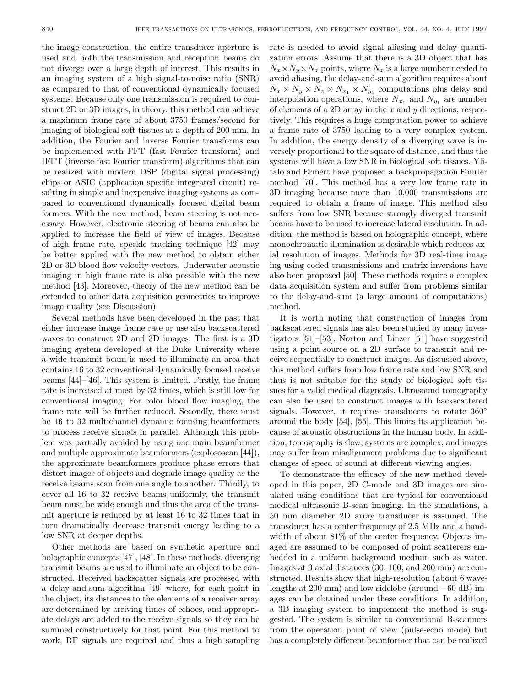the image construction, the entire transducer aperture is used and both the transmission and reception beams do not diverge over a large depth of interest. This results in an imaging system of a high signal-to-noise ratio (SNR) as compared to that of conventional dynamically focused systems. Because only one transmission is required to construct 2D or 3D images, in theory, this method can achieve a maximum frame rate of about 3750 frames/second for imaging of biological soft tissues at a depth of 200 mm. In addition, the Fourier and inverse Fourier transforms can be implemented with FFT (fast Fourier transform) and IFFT (inverse fast Fourier transform) algorithms that can be realized with modern DSP (digital signal processing) chips or ASIC (application specific integrated circuit) resulting in simple and inexpensive imaging systems as compared to conventional dynamically focused digital beam formers. With the new method, beam steering is not necessary. However, electronic steering of beams can also be applied to increase the field of view of images. Because of high frame rate, speckle tracking technique [42] may be better applied with the new method to obtain either 2D or 3D blood flow velocity vectors. Underwater acoustic imaging in high frame rate is also possible with the new method [43]. Moreover, theory of the new method can be extended to other data acquisition geometries to improve image quality (see Discussion).

Several methods have been developed in the past that either increase image frame rate or use also backscattered waves to construct 2D and 3D images. The first is a 3D imaging system developed at the Duke University where a wide transmit beam is used to illuminate an area that contains 16 to 32 conventional dynamically focused receive beams [44]–[46]. This system is limited. Firstly, the frame rate is increased at most by 32 times, which is still low for conventional imaging. For color blood flow imaging, the frame rate will be further reduced. Secondly, there must be 16 to 32 multichannel dynamic focusing beamformers to process receive signals in parallel. Although this problem was partially avoided by using one main beamformer and multiple approximate beamformers (explososcan [44]), the approximate beamformers produce phase errors that distort images of objects and degrade image quality as the receive beams scan from one angle to another. Thirdly, to cover all 16 to 32 receive beams uniformly, the transmit beam must be wide enough and thus the area of the transmit aperture is reduced by at least 16 to 32 times that in turn dramatically decrease transmit energy leading to a low SNR at deeper depths.

Other methods are based on synthetic aperture and holographic concepts [47], [48]. In these methods, diverging transmit beams are used to illuminate an object to be constructed. Received backscatter signals are processed with a delay-and-sum algorithm [49] where, for each point in the object, its distances to the elements of a receiver array are determined by arriving times of echoes, and appropriate delays are added to the receive signals so they can be summed constructively for that point. For this method to work, RF signals are required and thus a high sampling rate is needed to avoid signal aliasing and delay quantization errors. Assume that there is a 3D object that has  $N_x \times N_y \times N_z$  points, where  $N_z$  is a large number needed to avoid aliasing, the delay-and-sum algorithm requires about  $N_x \times N_y \times N_z \times N_{x_1} \times N_{y_1}$  computations plus delay and interpolation operations, where  $N_{x_1}$  and  $N_{y_1}$  are number of elements of a 2D array in the  $x$  and  $y$  directions, respectively. This requires a huge computation power to achieve a frame rate of 3750 leading to a very complex system. In addition, the energy density of a diverging wave is inversely proportional to the square of distance, and thus the systems will have a low SNR in biological soft tissues. Ylitalo and Ermert have proposed a backpropagation Fourier method [70]. This method has a very low frame rate in 3D imaging because more than 10,000 transmissions are required to obtain a frame of image. This method also suffers from low SNR because strongly diverged transmit beams have to be used to increase lateral resolution. In addition, the method is based on holographic concept, where monochromatic illumination is desirable which reduces axial resolution of images. Methods for 3D real-time imaging using coded transmissions and matrix inversions have also been proposed [50]. These methods require a complex data acquisition system and suffer from problems similar to the delay-and-sum (a large amount of computations) method.

It is worth noting that construction of images from backscattered signals has also been studied by many investigators [51]–[53]. Norton and Linzer [51] have suggested using a point source on a 2D surface to transmit and receive sequentially to construct images. As discussed above, this method suffers from low frame rate and low SNR and thus is not suitable for the study of biological soft tissues for a valid medical diagnosis. Ultrasound tomography can also be used to construct images with backscattered signals. However, it requires transducers to rotate 360<sup>°</sup> around the body [54], [55]. This limits its application because of acoustic obstructions in the human body. In addition, tomography is slow, systems are complex, and images may suffer from misalignment problems due to significant changes of speed of sound at different viewing angles.

To demonstrate the efficacy of the new method developed in this paper, 2D C-mode and 3D images are simulated using conditions that are typical for conventional medical ultrasonic B-scan imaging. In the simulations, a 50 mm diameter 2D array transducer is assumed. The transducer has a center frequency of 2.5 MHz and a bandwidth of about  $81\%$  of the center frequency. Objects imaged are assumed to be composed of point scatterers embedded in a uniform background medium such as water. Images at 3 axial distances (30, 100, and 200 mm) are constructed. Results show that high-resolution (about 6 wavelengths at 200 mm) and low-sidelobe (around −60 dB) images can be obtained under these conditions. In addition, a 3D imaging system to implement the method is suggested. The system is similar to conventional B-scanners from the operation point of view (pulse-echo mode) but has a completely different beamformer that can be realized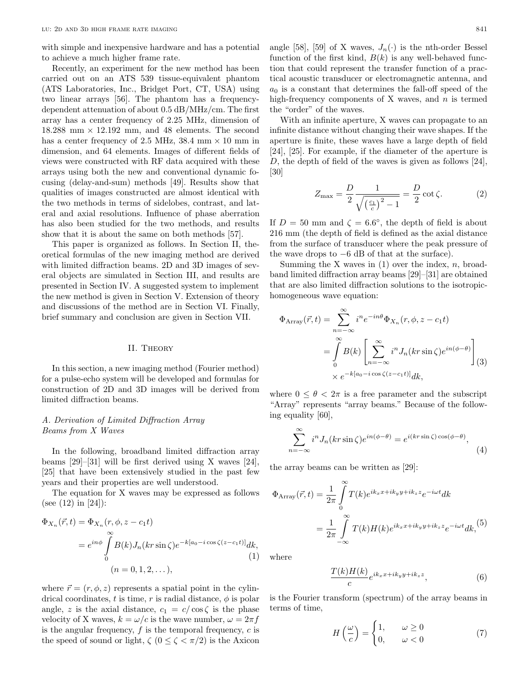with simple and inexpensive hardware and has a potential to achieve a much higher frame rate.

Recently, an experiment for the new method has been carried out on an ATS 539 tissue-equivalent phantom (ATS Laboratories, Inc., Bridget Port, CT, USA) using two linear arrays [56]. The phantom has a frequencydependent attenuation of about 0.5 dB/MHz/cm. The first array has a center frequency of 2.25 MHz, dimension of  $18.288$  mm  $\times$  12.192 mm, and 48 elements. The second has a center frequency of 2.5 MHz, 38.4 mm  $\times$  10 mm in dimension, and 64 elements. Images of different fields of views were constructed with RF data acquired with these arrays using both the new and conventional dynamic focusing (delay-and-sum) methods [49]. Results show that qualities of images constructed are almost identical with the two methods in terms of sidelobes, contrast, and lateral and axial resolutions. Influence of phase aberration has also been studied for the two methods, and results show that it is about the same on both methods [57].

This paper is organized as follows. In Section II, theoretical formulas of the new imaging method are derived with limited diffraction beams. 2D and 3D images of several objects are simulated in Section III, and results are presented in Section IV. A suggested system to implement the new method is given in Section V. Extension of theory and discussions of the method are in Section VI. Finally, brief summary and conclusion are given in Section VII.

#### II. Theory

In this section, a new imaging method (Fourier method) for a pulse-echo system will be developed and formulas for construction of 2D and 3D images will be derived from limited diffraction beams.

# A. Derivation of Limited Diffraction Array Beams from X Waves

In the following, broadband limited diffraction array beams [29]–[31] will be first derived using X waves [24], [25] that have been extensively studied in the past few years and their properties are well understood.

The equation for X waves may be expressed as follows (see (12) in [24]):

$$
\Phi_{X_n}(\vec{r},t) = \Phi_{X_n}(r,\phi,z-c_1t)
$$
\n
$$
= e^{in\phi} \int_{0}^{\infty} B(k)J_n(kr\sin\zeta)e^{-k[a_0 - i\cos\zeta(z-c_1t)]}dk,
$$
\n(1)\n
$$
(n = 0, 1, 2, ...),
$$

where  $\vec{r} = (r, \phi, z)$  represents a spatial point in the cylindrical coordinates, t is time, r is radial distance,  $\phi$  is polar angle, z is the axial distance,  $c_1 = c / \cos \zeta$  is the phase velocity of X waves,  $k = \omega/c$  is the wave number,  $\omega = 2\pi f$ is the angular frequency,  $f$  is the temporal frequency,  $c$  is the speed of sound or light,  $\zeta$  ( $0 \leq \zeta < \pi/2$ ) is the Axicon

angle [58], [59] of X waves,  $J_n(\cdot)$  is the nth-order Bessel function of the first kind,  $B(k)$  is any well-behaved function that could represent the transfer function of a practical acoustic transducer or electromagnetic antenna, and  $a_0$  is a constant that determines the fall-off speed of the high-frequency components of  $X$  waves, and  $n$  is termed the "order" of the waves.

With an infinite aperture, X waves can propagate to an infinite distance without changing their wave shapes. If the aperture is finite, these waves have a large depth of field [24], [25]. For example, if the diameter of the aperture is D, the depth of field of the waves is given as follows [24], [30]

$$
Z_{\text{max}} = \frac{D}{2} \frac{1}{\sqrt{\left(\frac{c_1}{c}\right)^2 - 1}} = \frac{D}{2} \cot \zeta.
$$
 (2)

If  $D = 50$  mm and  $\zeta = 6.6^{\circ}$ , the depth of field is about 216 mm (the depth of field is defined as the axial distance from the surface of transducer where the peak pressure of the wave drops to  $-6$  dB of that at the surface).

Summing the X waves in  $(1)$  over the index, n, broadband limited diffraction array beams [29]–[31] are obtained that are also limited diffraction solutions to the isotropichomogeneous wave equation:

$$
\Phi_{\text{Array}}(\vec{r},t) = \sum_{n=-\infty}^{\infty} i^n e^{-in\theta} \Phi_{X_n}(r,\phi,z-c_1t)
$$

$$
= \int_{0}^{\infty} B(k) \left[ \sum_{n=-\infty}^{\infty} i^n J_n(kr\sin\zeta) e^{in(\phi-\theta)} \right] (3)
$$

$$
\times e^{-k[a_0 - i\cos\zeta(z-c_1t)]} dk,
$$

where  $0 \leq \theta < 2\pi$  is a free parameter and the subscript "Array" represents "array beams." Because of the following equality [60],

$$
\sum_{n=-\infty}^{\infty} i^n J_n(kr \sin \zeta) e^{in(\phi - \theta)} = e^{i(kr \sin \zeta) \cos(\phi - \theta)},
$$
\n(4)

the array beams can be written as [29]:

$$
\Phi_{\text{Array}}(\vec{r},t) = \frac{1}{2\pi} \int_{0}^{\infty} T(k)e^{ik_x x + ik_y y + ik_z z} e^{-i\omega t} dk
$$

$$
= \frac{1}{2\pi} \int_{-\infty}^{\infty} T(k)H(k)e^{ik_x x + ik_y y + ik_z z} e^{-i\omega t} dk,
$$
<sup>(5)</sup>

where

$$
\frac{T(k)H(k)}{c}e^{ik_xx+ik_yy+ik_zz},\tag{6}
$$

is the Fourier transform (spectrum) of the array beams in terms of time,

$$
H\left(\frac{\omega}{c}\right) = \begin{cases} 1, & \omega \ge 0\\ 0, & \omega < 0 \end{cases}
$$
 (7)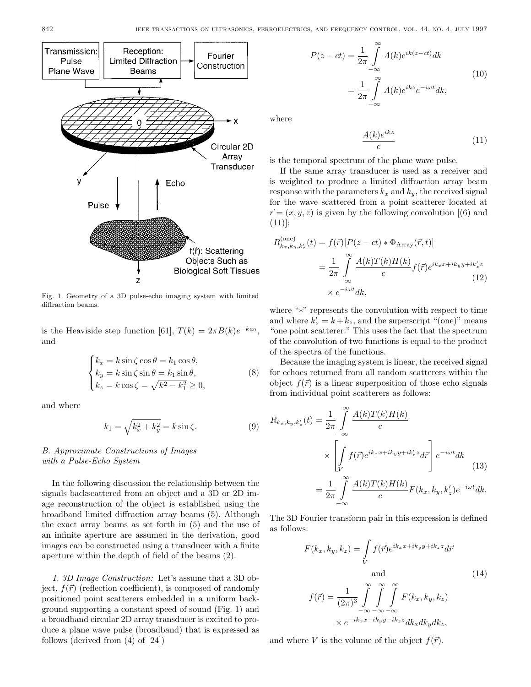

Fig. 1. Geometry of a 3D pulse-echo imaging system with limited diffraction beams.

is the Heaviside step function [61],  $T(k)=2\pi B(k)e^{-ka_0}$ , and

$$
\begin{cases}\nk_x = k \sin \zeta \cos \theta = k_1 \cos \theta, \\
k_y = k \sin \zeta \sin \theta = k_1 \sin \theta, \\
k_z = k \cos \zeta = \sqrt{k^2 - k_1^2} \ge 0,\n\end{cases}
$$
\n(8)

and where

$$
k_1 = \sqrt{k_x^2 + k_y^2} = k \sin \zeta.
$$
 (9)

# B. Approximate Constructions of Images with a Pulse-Echo System

In the following discussion the relationship between the signals backscattered from an object and a 3D or 2D image reconstruction of the object is established using the broadband limited diffraction array beams (5). Although the exact array beams as set forth in (5) and the use of an infinite aperture are assumed in the derivation, good images can be constructed using a transducer with a finite aperture within the depth of field of the beams (2).

1. 3D Image Construction: Let's assume that a 3D object,  $f(\vec{r})$  (reflection coefficient), is composed of randomly positioned point scatterers embedded in a uniform background supporting a constant speed of sound (Fig. 1) and a broadband circular 2D array transducer is excited to produce a plane wave pulse (broadband) that is expressed as follows (derived from (4) of [24])

$$
P(z - ct) = \frac{1}{2\pi} \int_{-\infty}^{\infty} A(k)e^{ik(z - ct)}dk
$$

$$
= \frac{1}{2\pi} \int_{-\infty}^{\infty} A(k)e^{ikz}e^{-i\omega t}dk,
$$
(10)

where

$$
\frac{A(k)e^{ikz}}{c} \tag{11}
$$

is the temporal spectrum of the plane wave pulse.

If the same array transducer is used as a receiver and is weighted to produce a limited diffraction array beam response with the parameters  $k_x$  and  $k_y$ , the received signal for the wave scattered from a point scatterer located at  $\vec{r} = (x, y, z)$  is given by the following convolution [6] and (11)]:

$$
R_{k_x, k_y, k_z'}^{(one)}(t) = f(\vec{r}) [P(z - ct) * \Phi_{\text{Array}}(\vec{r}, t)]
$$
  

$$
= \frac{1}{2\pi} \int_{-\infty}^{\infty} \frac{A(k)T(k)H(k)}{c} f(\vec{r}) e^{ik_x x + ik_y y + ik_z' z}
$$
  

$$
\times e^{-i\omega t} dk,
$$
 (12)

where "∗" represents the convolution with respect to time and where  $k'_z = k + k_z$ , and the superscript "(one)" means "one point scatterer." This uses the fact that the spectrum of the convolution of two functions is equal to the product of the spectra of the functions.

Because the imaging system is linear, the received signal for echoes returned from all random scatterers within the object  $f(\vec{r})$  is a linear superposition of those echo signals from individual point scatterers as follows:

$$
R_{k_x, k_y, k'_z}(t) = \frac{1}{2\pi} \int_{-\infty}^{\infty} \frac{A(k)T(k)H(k)}{c}
$$

$$
\times \left[ \int_{V} f(\vec{r})e^{ik_x x + ik_y y + ik'_z z} d\vec{r} \right] e^{-i\omega t} dk
$$
(13)
$$
= \frac{1}{2\pi} \int_{-\infty}^{\infty} \frac{A(k)T(k)H(k)}{c} F(k_x, k_y, k'_z) e^{-i\omega t} dk.
$$

The 3D Fourier transform pair in this expression is defined as follows:

$$
F(k_x, k_y, k_z) = \int\limits_V f(\vec{r}) e^{ik_x x + ik_y y + ik_z z} d\vec{r}
$$
  
and  

$$
f(\vec{r}) = \frac{1}{(2\pi)^3} \int\limits_{-\infty}^{\infty} \int\limits_{-\infty}^{\infty} \int\limits_{-\infty}^{\infty} F(k_x, k_y, k_z)
$$

$$
\times e^{-ik_x x - ik_y y - ik_z z} dk_x dk_y dk_z,
$$
 (14)

and where V is the volume of the object  $f(\vec{r})$ .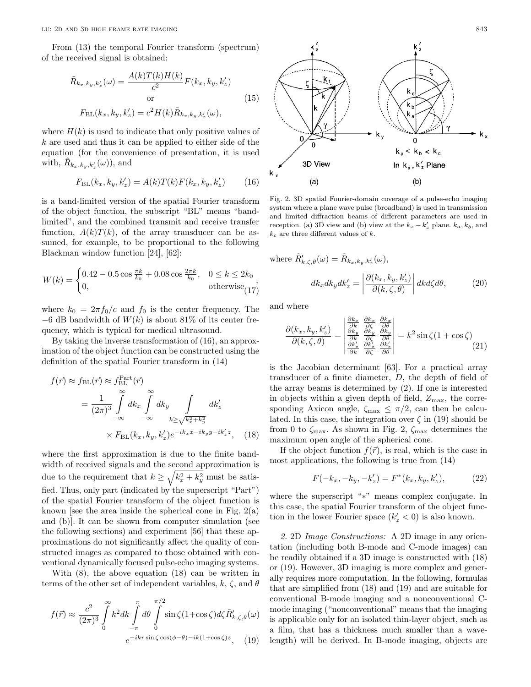From (13) the temporal Fourier transform (spectrum) of the received signal is obtained:

$$
\tilde{R}_{k_x,k_y,k'_z}(\omega) = \frac{A(k)T(k)H(k)}{c^2}F(k_x,k_y,k'_z)
$$
\nor\n
$$
F_{\rm BL}(k_x,k_y,k'_z) = c^2H(k)\tilde{R}_{k_x,k_y,k'_z}(\omega),
$$
\n(15)

where  $H(k)$  is used to indicate that only positive values of  $k$  are used and thus it can be applied to either side of the equation (for the convenience of presentation, it is used with,  $\tilde{R}_{k_x, k_y, k_z}(\omega)$ , and

$$
F_{\rm BL}(k_x, k_y, k_z') = A(k)T(k)F(k_x, k_y, k_z') \tag{16}
$$

is a band-limited version of the spatial Fourier transform of the object function, the subscript "BL" means "bandlimited", and the combined transmit and receive transfer function,  $A(k)T(k)$ , of the array transducer can be assumed, for example, to be proportional to the following Blackman window function [24], [62]:

$$
W(k) = \begin{cases} 0.42 - 0.5 \cos \frac{\pi k}{k_0} + 0.08 \cos \frac{2\pi k}{k_0}, & 0 \le k \le 2k_0 \\ 0, & \text{otherwise}_{(17)} \end{cases}
$$

where  $k_0 = 2\pi f_0/c$  and  $f_0$  is the center frequency. The  $-6$  dB bandwidth of  $W(k)$  is about 81% of its center frequency, which is typical for medical ultrasound.

By taking the inverse transformation of (16), an approximation of the object function can be constructed using the definition of the spatial Fourier transform in (14)

$$
f(\vec{r}) \approx f_{BL}(\vec{r}) \approx f_{BL}^{Part}(\vec{r})
$$
  
= 
$$
\frac{1}{(2\pi)^3} \int_{-\infty}^{\infty} dk_x \int_{-\infty}^{\infty} dk_y \int_{k \ge \sqrt{k_x^2 + k_y^2}} dk'_z
$$
  

$$
\times F_{BL}(k_x, k_y, k'_z) e^{-ik_x x - ik_y y - ik'_z z}, \quad (18)
$$

where the first approximation is due to the finite bandwidth of received signals and the second approximation is due to the requirement that  $k \geq \sqrt{k_x^2 + k_y^2}$  must be satisfied. Thus, only part (indicated by the superscript "Part") of the spatial Fourier transform of the object function is known [see the area inside the spherical cone in Fig.  $2(a)$ and (b)]. It can be shown from computer simulation (see the following sections) and experiment [56] that these approximations do not significantly affect the quality of constructed images as compared to those obtained with conventional dynamically focused pulse-echo imaging systems.

With (8), the above equation (18) can be written in terms of the other set of independent variables, k,  $\zeta$ , and  $\theta$ 

$$
f(\vec{r}) \approx \frac{c^2}{(2\pi)^3} \int_0^\infty k^2 dk \int_{-\pi}^{\pi} d\theta \int_0^{\pi/2} \sin\zeta (1+\cos\zeta) d\zeta \tilde{R}'_{k,\zeta,\theta}(\omega)
$$

$$
e^{-ikr\sin\zeta \cos(\phi-\theta)-ik(1+\cos\zeta)z}, \quad (19)
$$



Fig. 2. 3D spatial Fourier-domain coverage of a pulse-echo imaging system where a plane wave pulse (broadband) is used in transmission and limited diffraction beams of different parameters are used in reception. (a) 3D view and (b) view at the  $k_x - k'_z$  plane.  $k_a, k_b$ , and  $k_c$  are three different values of  $k$ .

where 
$$
\tilde{R}'_{k,\zeta,\theta}(\omega) = \tilde{R}_{k_x,k_y,k_z}(\omega),
$$
  
\n
$$
dk_x dk_y dk_z' = \left| \frac{\partial(k_x, k_y, k_z')}{\partial(k, \zeta, \theta)} \right| dk d\zeta d\theta,
$$
\n(20)

and where

$$
\frac{\partial(k_x, k_y, k_z')}{\partial(k, \zeta, \theta)} = \begin{vmatrix} \frac{\partial k_x}{\partial k} & \frac{\partial k_x}{\partial \zeta} & \frac{\partial k_x}{\partial \theta} \\ \frac{\partial k_y}{\partial k} & \frac{\partial k_y}{\partial \zeta} & \frac{\partial k_y}{\partial \theta} \\ \frac{\partial k_z}{\partial k} & \frac{\partial k_z}{\partial \zeta} & \frac{\partial k_z}{\partial \theta} \end{vmatrix} = k^2 \sin \zeta (1 + \cos \zeta) \tag{21}
$$

is the Jacobian determinant [63]. For a practical array transducer of a finite diameter, D, the depth of field of the array beams is determined by (2). If one is interested in objects within a given depth of field,  $Z_{\text{max}}$ , the corresponding Axicon angle,  $\zeta_{\text{max}} \leq \pi/2$ , can then be calculated. In this case, the integration over  $\zeta$  in (19) should be from 0 to  $\zeta_{\text{max}}$ . As shown in Fig. 2,  $\zeta_{\text{max}}$  determines the maximum open angle of the spherical cone.

If the object function  $f(\vec{r})$ , is real, which is the case in most applications, the following is true from (14)

$$
F(-k_x, -k_y, -k_z') = F^*(k_x, k_y, k_z'),\tag{22}
$$

where the superscript "∗" means complex conjugate. In this case, the spatial Fourier transform of the object function in the lower Fourier space  $(k'_z < 0)$  is also known.

2. 2D Image Constructions: A 2D image in any orientation (including both B-mode and C-mode images) can be readily obtained if a 3D image is constructed with (18) or (19). However, 3D imaging is more complex and generally requires more computation. In the following, formulas that are simplified from (18) and (19) and are suitable for conventional B-mode imaging and a nonconventional Cmode imaging ("nonconventional" means that the imaging is applicable only for an isolated thin-layer object, such as a film, that has a thickness much smaller than a wavelength) will be derived. In B-mode imaging, objects are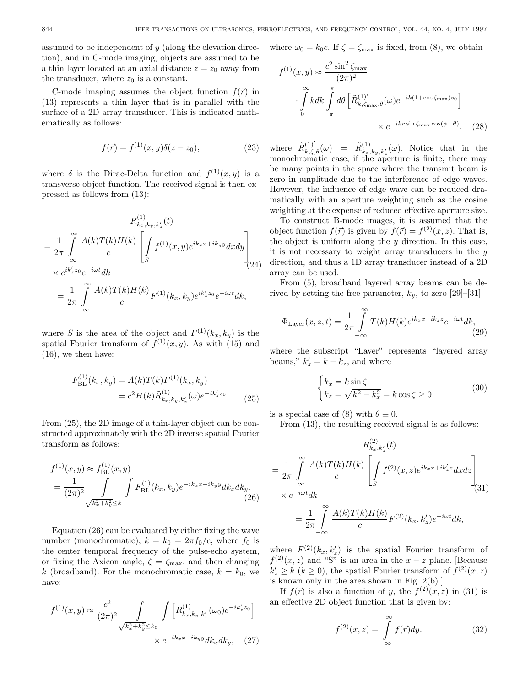assumed to be independent of  $y$  (along the elevation direction), and in C-mode imaging, objects are assumed to be a thin layer located at an axial distance  $z = z_0$  away from the transducer, where  $z_0$  is a constant.

C-mode imaging assumes the object function  $f(\vec{r})$  in (13) represents a thin layer that is in parallel with the surface of a 2D array transducer. This is indicated mathematically as follows:

$$
f(\vec{r}) = f^{(1)}(x, y)\delta(z - z_0),
$$
\n(23)

where  $\delta$  is the Dirac-Delta function and  $f^{(1)}(x, y)$  is a transverse object function. The received signal is then expressed as follows from (13):

$$
R_{k_x,k_y,k'_z}^{(1)}(t)
$$
  
=  $\frac{1}{2\pi} \int_{-\infty}^{\infty} \frac{A(k)T(k)H(k)}{c} \left[ \int_{S} f^{(1)}(x,y)e^{ik_x x + ik_y y} dxdy \right]$   
 $\times e^{ik'_z z_0} e^{-i\omega t} dk$   
=  $\frac{1}{2\pi} \int_{-\infty}^{\infty} \frac{A(k)T(k)H(k)}{c} F^{(1)}(k_x,k_y)e^{ik'_z z_0} e^{-i\omega t} dk,$ 

where S is the area of the object and  $F^{(1)}(k_x, k_y)$  is the spatial Fourier transform of  $f^{(1)}(x, y)$ . As with (15) and (16), we then have:

$$
F_{\rm BL}^{(1)}(k_x, k_y) = A(k)T(k)F^{(1)}(k_x, k_y)
$$
  
=  $c^2 H(k)\tilde{R}_{k_x, k_y, k_z}^{(1)}(\omega)e^{-ik_z'z_0}.$  (25)

From (25), the 2D image of a thin-layer object can be constructed approximately with the 2D inverse spatial Fourier transform as follows:

$$
f^{(1)}(x,y) \approx f_{\text{BL}}^{(1)}(x,y)
$$
  
= 
$$
\frac{1}{(2\pi)^2} \int\limits_{\sqrt{k_x^2 + k_y^2} \le k} \int F_{\text{BL}}^{(1)}(k_x, k_y) e^{-ik_x x - ik_y y} dk_x dk_y.
$$
 (26)

Equation (26) can be evaluated by either fixing the wave number (monochromatic),  $k = k_0 = 2\pi f_0/c$ , where  $f_0$  is the center temporal frequency of the pulse-echo system, or fixing the Axicon angle,  $\zeta = \zeta_{\text{max}}$ , and then changing k (broadband). For the monochromatic case,  $k = k_0$ , we have:

$$
f^{(1)}(x,y) \approx \frac{c^2}{(2\pi)^2} \int\limits_{\sqrt{k_x^2 + k_y^2} \le k_0} \int \left[ \tilde{R}_{k_x,k_y,k_z}^{(1)}(\omega_0) e^{-ik_z'z_0} \right] \times e^{-ik_x x - ik_y y} dk_x dk_y, \quad (27)
$$

where  $\omega_0 = k_0 c$ . If  $\zeta = \zeta_{\text{max}}$  is fixed, from (8), we obtain

$$
f^{(1)}(x,y) \approx \frac{c^2 \sin^2 \zeta_{\text{max}}}{(2\pi)^2}
$$

$$
\cdot \int_{0}^{\infty} k dk \int_{-\pi}^{\pi} d\theta \left[ \tilde{R}_{k,\zeta_{\text{max}},\theta}^{(1)'}(\omega) e^{-ik(1+\cos \zeta_{\text{max}})z_0} \right]
$$

$$
\times e^{-ikr \sin \zeta_{\text{max}} \cos(\phi-\theta)}, \quad (28)
$$

where  $\tilde{R}^{(1)'}_{k,\zeta,\theta}(\omega) = \tilde{R}^{(1)}_{k_x,k_y,k_z}(\omega)$ . Notice that in the monochromatic case, if the aperture is finite, there may be many points in the space where the transmit beam is zero in amplitude due to the interference of edge waves. However, the influence of edge wave can be reduced dramatically with an aperture weighting such as the cosine weighting at the expense of reduced effective aperture size.

To construct B-mode images, it is assumed that the object function  $f(\vec{r})$  is given by  $f(\vec{r}) = f^{(2)}(x, z)$ . That is, the object is uniform along the  $y$  direction. In this case, it is not necessary to weight array transducers in the  $y$ direction, and thus a 1D array transducer instead of a 2D array can be used.

From (5), broadband layered array beams can be derived by setting the free parameter,  $k_y$ , to zero [29]–[31]

$$
\Phi_{\text{Layer}}(x, z, t) = \frac{1}{2\pi} \int_{-\infty}^{\infty} T(k)H(k)e^{ik_x x + ik_z z} e^{-i\omega t} dk,
$$
\n(29)

where the subscript "Layer" represents "layered array beams,"  $k'_z = k + k_z$ , and where

$$
\begin{cases} k_x = k \sin \zeta \\ k_z = \sqrt{k^2 - k_x^2} = k \cos \zeta \ge 0 \end{cases}
$$
 (30)

is a special case of (8) with  $\theta \equiv 0$ .

From (13), the resulting received signal is as follows:

$$
R_{k_x,k'_z}^{(2)}(t)
$$
  
=  $\frac{1}{2\pi} \int_{-\infty}^{\infty} \frac{A(k)T(k)H(k)}{c} \left[ \int_{S} f^{(2)}(x,z)e^{ik_x x + ik'_z z} dxdz \right]$   

$$
\times e^{-i\omega t} dk
$$
  
=  $\frac{1}{2\pi} \int_{-\infty}^{\infty} \frac{A(k)T(k)H(k)}{c} F^{(2)}(k_x,k'_z)e^{-i\omega t} dk,$ 

where  $F^{(2)}(k_x, k_z')$  is the spatial Fourier transform of  $f^{(2)}(x, z)$  and "S" is an area in the  $x - z$  plane. [Because  $k'_z \ge k \ (k \ge 0)$ , the spatial Fourier transform of  $f^{(2)}(x, z)$ is known only in the area shown in Fig. 2(b).]

If  $f(\vec{r})$  is also a function of y, the  $f^{(2)}(x, z)$  in (31) is an effective 2D object function that is given by:

$$
f^{(2)}(x,z) = \int_{-\infty}^{\infty} f(\vec{r}) dy.
$$
 (32)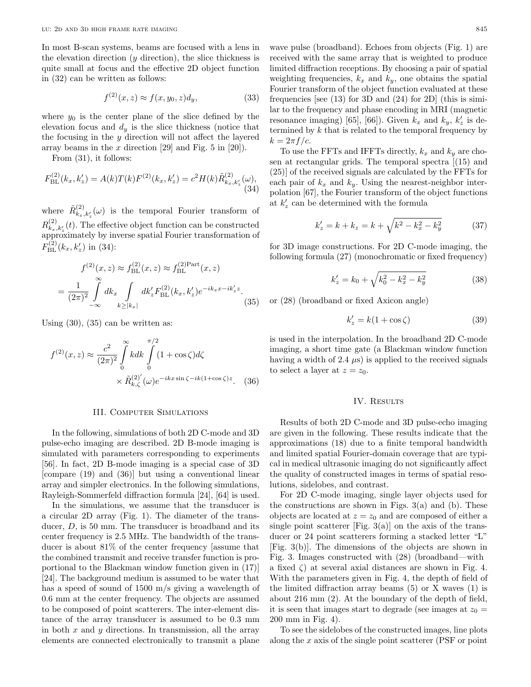In most B-scan systems, beams are focused with a lens in the elevation direction  $(y \text{ direction})$ , the slice thickness is quite small at focus and the effective 2D object function in (32) can be written as follows:

$$
f^{(2)}(x,z) \approx f(x,y_0,z)d_y,
$$
\n(33)

where  $y_0$  is the center plane of the slice defined by the elevation focus and  $d_y$  is the slice thickness (notice that the focusing in the  $y$  direction will not affect the layered array beams in the  $x$  direction [29] and Fig. 5 in [20]).

From (31), it follows:

$$
F_{\rm BL}^{(2)}(k_x, k_z') = A(k)T(k)F^{(2)}(k_x, k_z') = c^2 H(k)\tilde{R}_{k_x, k_z'}^{(2)}(\omega),
$$
\n(34)

where  $\tilde{R}_{k_x,k'_z}^{(2)}(\omega)$  is the temporal Fourier transform of  $R_{k_x, k'_z}^{(2)}(t)$ . The effective object function can be constructed  $\widehat{\mathcal{L}}_{x}^{\kappa,x,z}$  mately by inverse spatial Fourier transformation of  $F_{\text{BL}}^{(2)}(k_x, k_z')$  in (34):

$$
f^{(2)}(x, z) \approx f_{BL}^{(2)}(x, z) \approx f_{BL}^{(2)Part}(x, z)
$$

$$
= \frac{1}{(2\pi)^2} \int_{-\infty}^{\infty} dk_x \int_{k \ge |k_x|} dk'_z F_{BL}^{(2)}(k_x, k'_z) e^{-ik_x x - ik'_z z}.
$$
(35)

Using  $(30)$ ,  $(35)$  can be written as:

$$
f^{(2)}(x,z) \approx \frac{c^2}{(2\pi)^2} \int_0^\infty k dk \int_0^{\pi/2} (1 + \cos \zeta) d\zeta
$$

$$
\times \tilde{R}_{k,\zeta}^{(2)'}(\omega) e^{-ikx \sin \zeta - ik(1 + \cos \zeta)z}.
$$
 (36)

#### III. Computer Simulations

In the following, simulations of both 2D C-mode and 3D pulse-echo imaging are described. 2D B-mode imaging is simulated with parameters corresponding to experiments [56]. In fact, 2D B-mode imaging is a special case of 3D [compare (19) and (36)] but using a conventional linear array and simpler electronics. In the following simulations, Rayleigh-Sommerfeld diffraction formula [24], [64] is used.

In the simulations, we assume that the transducer is a circular 2D array (Fig. 1). The diameter of the transducer, D, is 50 mm. The transducer is broadband and its center frequency is 2.5 MHz. The bandwidth of the transducer is about 81% of the center frequency [assume that the combined transmit and receive transfer function is proportional to the Blackman window function given in (17)] [24]. The background medium is assumed to be water that has a speed of sound of 1500 m/s giving a wavelength of 0.6 mm at the center frequency. The objects are assumed to be composed of point scatterers. The inter-element distance of the array transducer is assumed to be 0.3 mm in both  $x$  and  $y$  directions. In transmission, all the array elements are connected electronically to transmit a plane

wave pulse (broadband). Echoes from objects (Fig. 1) are received with the same array that is weighted to produce

limited diffraction receptions. By choosing a pair of spatial weighting frequencies,  $k_x$  and  $k_y$ , one obtains the spatial Fourier transform of the object function evaluated at these frequencies [see (13) for 3D and (24) for 2D] (this is similar to the frequency and phase encoding in MRI (magnetic resonance imaging) [65], [66]). Given  $k_x$  and  $k_y$ ,  $k_z$  is determined by  $k$  that is related to the temporal frequency by  $k = 2\pi f/c$ .

To use the FFTs and IFFTs directly,  $k_x$  and  $k_y$  are chosen at rectangular grids. The temporal spectra [(15) and (25)] of the received signals are calculated by the FFTs for each pair of  $k_x$  and  $k_y$ . Using the nearest-neighbor interpolation [67], the Fourier transform of the object functions at  $k'_z$  can be determined with the formula

$$
k'_z = k + k_z = k + \sqrt{k^2 - k_x^2 - k_y^2}
$$
 (37)

for 3D image constructions. For 2D C-mode imaging, the following formula (27) (monochromatic or fixed frequency)

$$
k'_z = k_0 + \sqrt{k_0^2 - k_x^2 - k_y^2}
$$
 (38)

or (28) (broadband or fixed Axicon angle)

$$
k'_z = k(1 + \cos \zeta) \tag{39}
$$

is used in the interpolation. In the broadband 2D C-mode imaging, a short time gate (a Blackman window function having a width of 2.4  $\mu$ s) is applied to the received signals to select a layer at  $z = z_0$ .

## IV. RESULTS

Results of both 2D C-mode and 3D pulse-echo imaging are given in the following. These results indicate that the approximations (18) due to a finite temporal bandwidth and limited spatial Fourier-domain coverage that are typical in medical ultrasonic imaging do not significantly affect the quality of constructed images in terms of spatial resolutions, sidelobes, and contrast.

For 2D C-mode imaging, single layer objects used for the constructions are shown in Figs.  $3(a)$  and (b). These objects are located at  $z = z_0$  and are composed of either a single point scatterer [Fig.  $3(a)$ ] on the axis of the transducer or 24 point scatterers forming a stacked letter "L" [Fig. 3(b)]. The dimensions of the objects are shown in Fig. 3. Images constructed with (28) (broadband—with a fixed  $\zeta$  at several axial distances are shown in Fig. 4. With the parameters given in Fig. 4, the depth of field of the limited diffraction array beams (5) or X waves (1) is about 216 mm (2). At the boundary of the depth of field, it is seen that images start to degrade (see images at  $z_0 =$ 200 mm in Fig. 4).

To see the sidelobes of the constructed images, line plots along the x axis of the single point scatterer (PSF or point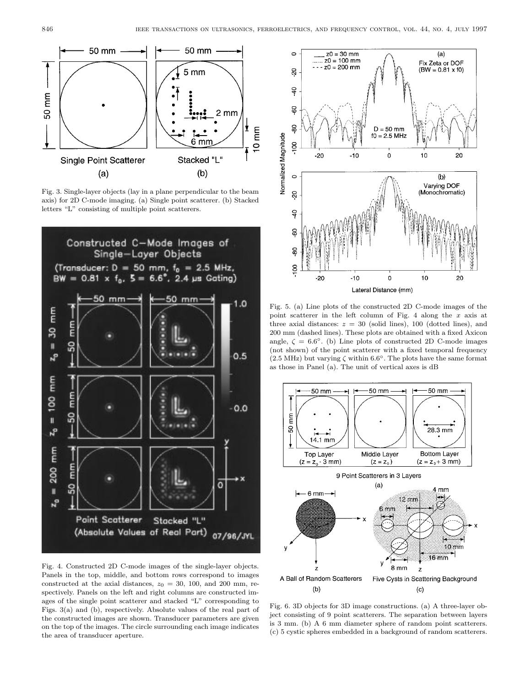

Fig. 3. Single-layer objects (lay in a plane perpendicular to the beam axis) for 2D C-mode imaging. (a) Single point scatterer. (b) Stacked letters "L" consisting of multiple point scatterers.



Fig. 4. Constructed 2D C-mode images of the single-layer objects. Panels in the top, middle, and bottom rows correspond to images constructed at the axial distances,  $z_0 = 30, 100,$  and 200 mm, respectively. Panels on the left and right columns are constructed images of the single point scatterer and stacked "L" corresponding to Figs. 3(a) and (b), respectively. Absolute values of the real part of the constructed images are shown. Transducer parameters are given on the top of the images. The circle surrounding each image indicates the area of transducer aperture.



Fig. 5. (a) Line plots of the constructed 2D C-mode images of the point scatterer in the left column of Fig. 4 along the x axis at three axial distances:  $z = 30$  (solid lines), 100 (dotted lines), and 200 mm (dashed lines). These plots are obtained with a fixed Axicon angle,  $\zeta = 6.6^{\circ}$ . (b) Line plots of constructed 2D C-mode images (not shown) of the point scatterer with a fixed temporal frequency  $(2.5 \text{ MHz})$  but varying  $\zeta$  within 6.6<sup>°</sup>. The plots have the same format as those in Panel (a). The unit of vertical axes is dB



Fig. 6. 3D objects for 3D image constructions. (a) A three-layer object consisting of 9 point scatterers. The separation between layers is 3 mm. (b) A 6 mm diameter sphere of random point scatterers. (c) 5 cystic spheres embedded in a background of random scatterers.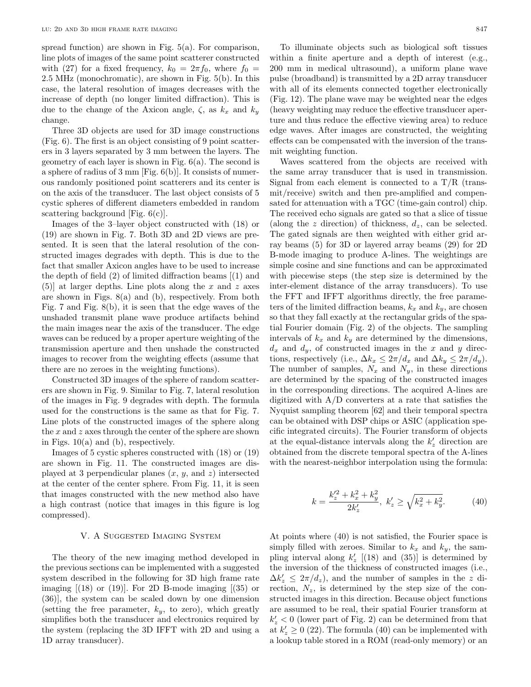spread function) are shown in Fig. 5(a). For comparison, line plots of images of the same point scatterer constructed with (27) for a fixed frequency,  $k_0 = 2\pi f_0$ , where  $f_0 =$ 2.5 MHz (monochromatic), are shown in Fig. 5(b). In this case, the lateral resolution of images decreases with the increase of depth (no longer limited diffraction). This is due to the change of the Axicon angle,  $\zeta$ , as  $k_x$  and  $k_y$ change.

Three 3D objects are used for 3D image constructions (Fig. 6). The first is an object consisting of 9 point scatterers in 3 layers separated by 3 mm between the layers. The geometry of each layer is shown in Fig.  $6(a)$ . The second is a sphere of radius of 3 mm [Fig. 6(b)]. It consists of numerous randomly positioned point scatterers and its center is on the axis of the transducer. The last object consists of 5 cystic spheres of different diameters embedded in random scattering background [Fig. 6(c)].

Images of the 3–layer object constructed with (18) or (19) are shown in Fig. 7. Both 3D and 2D views are presented. It is seen that the lateral resolution of the constructed images degrades with depth. This is due to the fact that smaller Axicon angles have to be used to increase the depth of field (2) of limited diffraction beams [(1) and  $(5)$ ] at larger depths. Line plots along the x and z axes are shown in Figs. 8(a) and (b), respectively. From both Fig. 7 and Fig. 8(b), it is seen that the edge waves of the unshaded transmit plane wave produce artifacts behind the main images near the axis of the transducer. The edge waves can be reduced by a proper aperture weighting of the transmission aperture and then unshade the constructed images to recover from the weighting effects (assume that there are no zeroes in the weighting functions).

Constructed 3D images of the sphere of random scatterers are shown in Fig. 9. Similar to Fig. 7, lateral resolution of the images in Fig. 9 degrades with depth. The formula used for the constructions is the same as that for Fig. 7. Line plots of the constructed images of the sphere along the x and z axes through the center of the sphere are shown in Figs.  $10(a)$  and (b), respectively.

Images of 5 cystic spheres constructed with (18) or (19) are shown in Fig. 11. The constructed images are displayed at 3 perpendicular planes  $(x, y, \text{ and } z)$  intersected at the center of the center sphere. From Fig. 11, it is seen that images constructed with the new method also have a high contrast (notice that images in this figure is log compressed).

#### V. A Suggested Imaging System

The theory of the new imaging method developed in the previous sections can be implemented with a suggested system described in the following for 3D high frame rate imaging  $[(18)$  or  $(19)$ . For 2D B-mode imaging  $[(35)$  or (36)], the system can be scaled down by one dimension (setting the free parameter,  $k_y$ , to zero), which greatly simplifies both the transducer and electronics required by the system (replacing the 3D IFFT with 2D and using a 1D array transducer).

To illuminate objects such as biological soft tissues within a finite aperture and a depth of interest (e.g., 200 mm in medical ultrasound), a uniform plane wave pulse (broadband) is transmitted by a 2D array transducer with all of its elements connected together electronically (Fig. 12). The plane wave may be weighted near the edges (heavy weighting may reduce the effective transducer aperture and thus reduce the effective viewing area) to reduce edge waves. After images are constructed, the weighting effects can be compensated with the inversion of the transmit weighting function.

Waves scattered from the objects are received with the same array transducer that is used in transmission. Signal from each element is connected to a  $T/R$  (transmit/receive) switch and then pre-amplified and compensated for attenuation with a TGC (time-gain control) chip. The received echo signals are gated so that a slice of tissue (along the z direction) of thickness,  $d_z$ , can be selected. The gated signals are then weighted with either grid array beams (5) for 3D or layered array beams (29) for 2D B-mode imaging to produce A-lines. The weightings are simple cosine and sine functions and can be approximated with piecewise steps (the step size is determined by the inter-element distance of the array transducers). To use the FFT and IFFT algorithms directly, the free parameters of the limited diffraction beams,  $k_x$  and  $k_y$ , are chosen so that they fall exactly at the rectangular grids of the spatial Fourier domain (Fig. 2) of the objects. The sampling intervals of  $k_x$  and  $k_y$  are determined by the dimensions,  $d_x$  and  $d_y$ , of constructed images in the x and y directions, respectively (i.e.,  $\Delta k_x \leq 2\pi/d_x$  and  $\Delta k_y \leq 2\pi/d_y$ ). The number of samples,  $N_x$  and  $N_y$ , in these directions are determined by the spacing of the constructed images in the corresponding directions. The acquired A-lines are digitized with A/D converters at a rate that satisfies the Nyquist sampling theorem [62] and their temporal spectra can be obtained with DSP chips or ASIC (application specific integrated circuits). The Fourier transform of objects at the equal-distance intervals along the  $k'_z$  direction are obtained from the discrete temporal spectra of the A-lines with the nearest-neighbor interpolation using the formula:

$$
k = \frac{k_z'^2 + k_x^2 + k_y^2}{2k_z'}, \ k_z' \ge \sqrt{k_x^2 + k_y^2}.
$$
 (40)

At points where (40) is not satisfied, the Fourier space is simply filled with zeroes. Similar to  $k_x$  and  $k_y$ , the sampling interval along  $k'_z$  [(18) and (35)] is determined by the inversion of the thickness of constructed images (i.e.,  $\Delta k_z' \leq 2\pi/d_z$ , and the number of samples in the z direction,  $N_z$ , is determined by the step size of the constructed images in this direction. Because object functions are assumed to be real, their spatial Fourier transform at  $k'_z < 0$  (lower part of Fig. 2) can be determined from that at  $k'_z \geq 0$  (22). The formula (40) can be implemented with a lookup table stored in a ROM (read-only memory) or an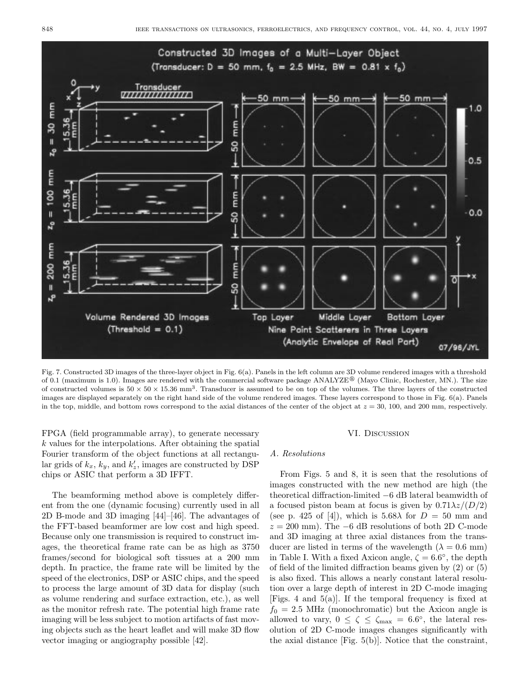

Fig. 7. Constructed 3D images of the three-layer object in Fig. 6(a). Panels in the left column are 3D volume rendered images with a threshold of 0.1 (maximum is 1.0). Images are rendered with the commercial software package  $ANALYZE^{\circledR}$  (Mayo Clinic, Rochester, MN.). The size of constructed volumes is  $50 \times 50 \times 15.36$  mm<sup>3</sup>. Transducer is assumed to be on top of the volumes. The three layers of the constructed images are displayed separately on the right hand side of the volume rendered images. These layers correspond to those in Fig. 6(a). Panels in the top, middle, and bottom rows correspond to the axial distances of the center of the object at  $z = 30$ , 100, and 200 mm, respectively.

FPGA (field programmable array), to generate necessary  $k$  values for the interpolations. After obtaining the spatial Fourier transform of the object functions at all rectangular grids of  $k_x$ ,  $k_y$ , and  $k_z'$ , images are constructed by DSP chips or ASIC that perform a 3D IFFT.

The beamforming method above is completely different from the one (dynamic focusing) currently used in all 2D B-mode and 3D imaging [44]–[46]. The advantages of the FFT-based beamformer are low cost and high speed. Because only one transmission is required to construct images, the theoretical frame rate can be as high as 3750 frames/second for biological soft tissues at a 200 mm depth. In practice, the frame rate will be limited by the speed of the electronics, DSP or ASIC chips, and the speed to process the large amount of 3D data for display (such as volume rendering and surface extraction, etc.), as well as the monitor refresh rate. The potential high frame rate imaging will be less subject to motion artifacts of fast moving objects such as the heart leaflet and will make 3D flow vector imaging or angiography possible [42].

#### VI. Discussion

#### A. Resolutions

From Figs. 5 and 8, it is seen that the resolutions of images constructed with the new method are high (the theoretical diffraction-limited −6 dB lateral beamwidth of a focused piston beam at focus is given by  $0.71\lambda z/(D/2)$ (see p. 425 of [4]), which is 5.68 $\lambda$  for  $D = 50$  mm and  $z = 200$  mm). The  $-6$  dB resolutions of both 2D C-mode and 3D imaging at three axial distances from the transducer are listed in terms of the wavelength  $(\lambda = 0.6 \text{ mm})$ in Table I. With a fixed Axicon angle,  $\zeta = 6.6^{\circ}$ , the depth of field of the limited diffraction beams given by (2) or (5) is also fixed. This allows a nearly constant lateral resolution over a large depth of interest in 2D C-mode imaging [Figs. 4 and 5(a)]. If the temporal frequency is fixed at  $f_0 = 2.5$  MHz (monochromatic) but the Axicon angle is allowed to vary,  $0 \le \zeta \le \zeta_{\text{max}} = 6.6^{\circ}$ , the lateral resolution of 2D C-mode images changes significantly with the axial distance [Fig. 5(b)]. Notice that the constraint,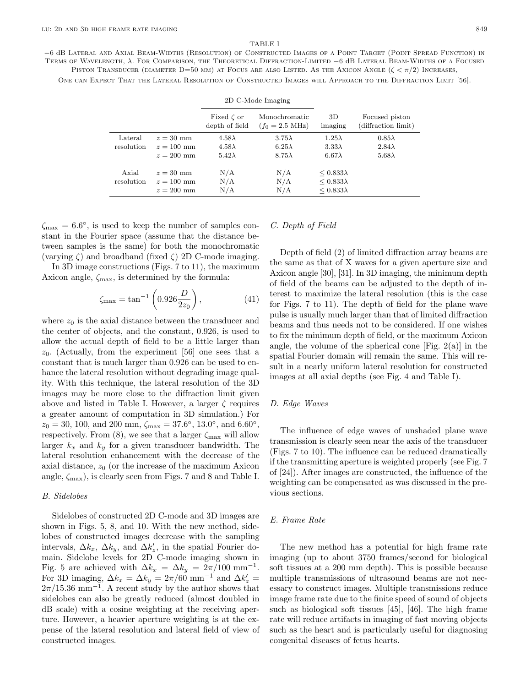## TABLE I

<sup>−</sup><sup>6</sup> <sup>d</sup>B Lateral and Axial Beam-Widths (Resolution) of Constructed Images of a Point Target (Point Spread Function) in Terms of Wavelength, <sup>λ</sup>. For Comparison, the Theoretical Diffraction-Limited <sup>−</sup><sup>6</sup> <sup>d</sup>B Lateral Beam-Widths of a Focused PISTON TRANSDUCER (DIAMETER D=50 MM) AT FOCUS ARE ALSO LISTED. AS THE AXICON ANGLE  $(\zeta \lt \pi/2)$  Increases,

One can Expect That the Lateral Resolution of Constructed Images will Approach to the Diffraction Limit [56].

|                       |                                             | 2D C-Mode Imaging                               |                                                 |                                                             |                                                 |
|-----------------------|---------------------------------------------|-------------------------------------------------|-------------------------------------------------|-------------------------------------------------------------|-------------------------------------------------|
|                       |                                             | Fixed $\zeta$ or<br>depth of field              | Monochromatic<br>$(f_0 = 2.5 \text{ MHz})$      | 3D<br>imaging                                               | Focused piston<br>(diffraction limit)           |
| Lateral<br>resolution | $z = 30$ mm<br>$z = 100$ mm<br>$z = 200$ mm | $4.58\lambda$<br>$4.58\lambda$<br>$5.42\lambda$ | $3.75\lambda$<br>$6.25\lambda$<br>$8.75\lambda$ | $1.25\lambda$<br>$3.33\lambda$<br>$6.67\lambda$             | $0.85\lambda$<br>$2.84\lambda$<br>$5.68\lambda$ |
| Axial<br>resolution   | $z = 30$ mm<br>$z = 100$ mm<br>$z = 200$ mm | N/A<br>N/A<br>N/A                               | N/A<br>N/A<br>N/A                               | $\leq 0.833\lambda$<br>$< 0.833\lambda$<br>$< 0.833\lambda$ |                                                 |

 $\zeta_{\text{max}} = 6.6^{\circ}$ , is used to keep the number of samples constant in the Fourier space (assume that the distance between samples is the same) for both the monochromatic (varying  $\zeta$ ) and broadband (fixed  $\zeta$ ) 2D C-mode imaging.

In 3D image constructions (Figs. 7 to 11), the maximum Axicon angle,  $\zeta_{\text{max}}$ , is determined by the formula:

$$
\zeta_{\text{max}} = \tan^{-1} \left( 0.926 \frac{D}{2z_0} \right),\tag{41}
$$

where  $z_0$  is the axial distance between the transducer and the center of objects, and the constant, 0.926, is used to allow the actual depth of field to be a little larger than  $z_0$ . (Actually, from the experiment [56] one sees that a constant that is much larger than 0.926 can be used to enhance the lateral resolution without degrading image quality. With this technique, the lateral resolution of the 3D images may be more close to the diffraction limit given above and listed in Table I. However, a larger  $\zeta$  requires a greater amount of computation in 3D simulation.) For  $z_0 = 30, 100, \text{ and } 200 \text{ mm}, \zeta_{\text{max}} = 37.6^{\circ}, 13.0^{\circ}, \text{ and } 6.60^{\circ},$ respectively. From  $(8)$ , we see that a larger  $\zeta_{\text{max}}$  will allow larger  $k_x$  and  $k_y$  for a given transducer bandwidth. The lateral resolution enhancement with the decrease of the axial distance,  $z_0$  (or the increase of the maximum Axicon angle,  $\zeta_{\text{max}}$ , is clearly seen from Figs. 7 and 8 and Table I.

## B. Sidelobes

Sidelobes of constructed 2D C-mode and 3D images are shown in Figs. 5, 8, and 10. With the new method, sidelobes of constructed images decrease with the sampling intervals,  $\Delta k_x$ ,  $\Delta k_y$ , and  $\Delta k_z'$ , in the spatial Fourier domain. Sidelobe levels for 2D C-mode imaging shown in Fig. 5 are achieved with  $\Delta k_x = \Delta k_y = 2\pi/100 \text{ mm}^{-1}$ . For 3D imaging,  $\Delta k_x = \Delta k_y = 2\pi/60 \text{ mm}^{-1}$  and  $\Delta k_z' =$  $2\pi/15.36$  mm<sup>-1</sup>. A recent study by the author shows that sidelobes can also be greatly reduced (almost doubled in dB scale) with a cosine weighting at the receiving aperture. However, a heavier aperture weighting is at the expense of the lateral resolution and lateral field of view of constructed images.

## C. Depth of Field

Depth of field (2) of limited diffraction array beams are the same as that of X waves for a given aperture size and Axicon angle [30], [31]. In 3D imaging, the minimum depth of field of the beams can be adjusted to the depth of interest to maximize the lateral resolution (this is the case for Figs. 7 to 11). The depth of field for the plane wave pulse is usually much larger than that of limited diffraction beams and thus needs not to be considered. If one wishes to fix the minimum depth of field, or the maximum Axicon angle, the volume of the spherical cone [Fig.  $2(a)$ ] in the spatial Fourier domain will remain the same. This will result in a nearly uniform lateral resolution for constructed images at all axial depths (see Fig. 4 and Table I).

## D. Edge Waves

The influence of edge waves of unshaded plane wave transmission is clearly seen near the axis of the transducer (Figs. 7 to 10). The influence can be reduced dramatically if the transmitting aperture is weighted properly (see Fig. 7 of [24]). After images are constructed, the influence of the weighting can be compensated as was discussed in the previous sections.

## E. Frame Rate

The new method has a potential for high frame rate imaging (up to about 3750 frames/second for biological soft tissues at a 200 mm depth). This is possible because multiple transmissions of ultrasound beams are not necessary to construct images. Multiple transmissions reduce image frame rate due to the finite speed of sound of objects such as biological soft tissues [45], [46]. The high frame rate will reduce artifacts in imaging of fast moving objects such as the heart and is particularly useful for diagnosing congenital diseases of fetus hearts.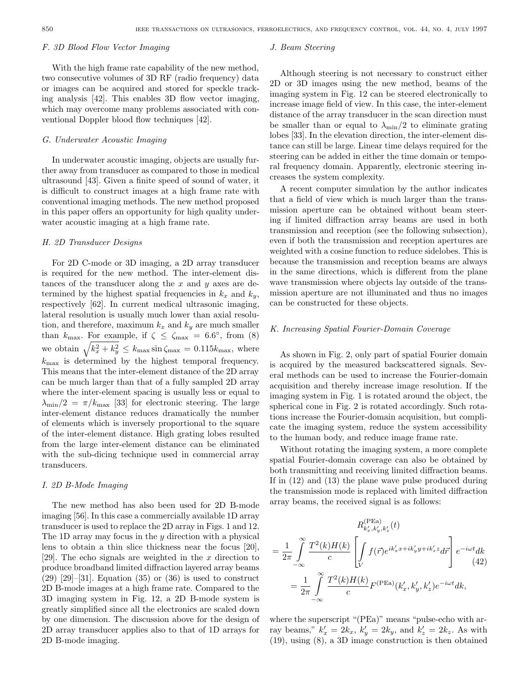#### F. 3D Blood Flow Vector Imaging

With the high frame rate capability of the new method, two consecutive volumes of 3D RF (radio frequency) data or images can be acquired and stored for speckle tracking analysis [42]. This enables 3D flow vector imaging, which may overcome many problems associated with conventional Doppler blood flow techniques [42].

# G. Underwater Acoustic Imaging

In underwater acoustic imaging, objects are usually further away from transducer as compared to those in medical ultrasound [43]. Given a finite speed of sound of water, it is difficult to construct images at a high frame rate with conventional imaging methods. The new method proposed in this paper offers an opportunity for high quality underwater acoustic imaging at a high frame rate.

## H. 2D Transducer Designs

For 2D C-mode or 3D imaging, a 2D array transducer is required for the new method. The inter-element distances of the transducer along the  $x$  and  $y$  axes are determined by the highest spatial frequencies in  $k_x$  and  $k_y$ , respectively [62]. In current medical ultrasonic imaging, lateral resolution is usually much lower than axial resolution, and therefore, maximum  $k_x$  and  $k_y$  are much smaller than  $k_{\text{max}}$ . For example, if  $\zeta \leq \zeta_{\text{max}} = 6.6^{\circ}$ , from (8) we obtain  $\sqrt{k_x^2 + k_y^2} \le k_{\text{max}} \sin \zeta_{\text{max}} = 0.115 k_{\text{max}}$ , where  $k_{\text{max}}$  is determined by the highest temporal frequency. This means that the inter-element distance of the 2D array can be much larger than that of a fully sampled 2D array where the inter-element spacing is usually less or equal to  $\lambda_{\min}/2 = \pi/k_{\max}$  [33] for electronic steering. The large inter-element distance reduces dramatically the number of elements which is inversely proportional to the square of the inter-element distance. High grating lobes resulted from the large inter-element distance can be eliminated with the sub-dicing technique used in commercial array transducers.

## I. 2D B-Mode Imaging

The new method has also been used for 2D B-mode imaging [56]. In this case a commercially available 1D array transducer is used to replace the 2D array in Figs. 1 and 12. The 1D array may focus in the  $y$  direction with a physical lens to obtain a thin slice thickness near the focus [20], [29]. The echo signals are weighted in the  $x$  direction to produce broadband limited diffraction layered array beams  $(29)$  [29]–[31]. Equation  $(35)$  or  $(36)$  is used to construct 2D B-mode images at a high frame rate. Compared to the 3D imaging system in Fig. 12, a 2D B-mode system is greatly simplified since all the electronics are scaled down by one dimension. The discussion above for the design of 2D array transducer applies also to that of 1D arrays for 2D B-mode imaging.

#### J. Beam Steering

Although steering is not necessary to construct either 2D or 3D images using the new method, beams of the imaging system in Fig. 12 can be steered electronically to increase image field of view. In this case, the inter-element distance of the array transducer in the scan direction must be smaller than or equal to  $\lambda_{\min}/2$  to eliminate grating lobes [33]. In the elevation direction, the inter-element distance can still be large. Linear time delays required for the steering can be added in either the time domain or temporal frequency domain. Apparently, electronic steering increases the system complexity.

A recent computer simulation by the author indicates that a field of view which is much larger than the transmission aperture can be obtained without beam steering if limited diffraction array beams are used in both transmission and reception (see the following subsection), even if both the transmission and reception apertures are weighted with a cosine function to reduce sidelobes. This is because the transmission and reception beams are always in the same directions, which is different from the plane wave transmission where objects lay outside of the transmission aperture are not illuminated and thus no images can be constructed for these objects.

## K. Increasing Spatial Fourier-Domain Coverage

As shown in Fig. 2, only part of spatial Fourier domain is acquired by the measured backscattered signals. Several methods can be used to increase the Fourier-domain acquisition and thereby increase image resolution. If the imaging system in Fig. 1 is rotated around the object, the spherical cone in Fig. 2 is rotated accordingly. Such rotations increase the Fourier-domain acquisition, but complicate the imaging system, reduce the system accessibility to the human body, and reduce image frame rate.

Without rotating the imaging system, a more complete spatial Fourier-domain coverage can also be obtained by both transmitting and receiving limited diffraction beams. If in (12) and (13) the plane wave pulse produced during the transmission mode is replaced with limited diffraction array beams, the received signal is as follows:

$$
R_{k'_x,k'_y,k'_z}^{(\text{PEa})}(t)
$$
  
= 
$$
\frac{1}{2\pi} \int_{-\infty}^{\infty} \frac{T^2(k)H(k)}{c} \left[ \int_{V} f(\vec{r}) e^{ik'_x x + ik'_y y + ik'_z z} d\vec{r} \right] e^{-i\omega t} dk
$$
  
= 
$$
\frac{1}{2\pi} \int_{-\infty}^{\infty} \frac{T^2(k)H(k)}{c} F^{(\text{PEa})}(k'_x, k'_y, k'_z) e^{-i\omega t} dk,
$$

where the superscript "(PEa)" means "pulse-echo with array beams,"  $k'_x = 2k_x$ ,  $k'_y = 2k_y$ , and  $k'_z = 2k_z$ . As with (19), using (8), a 3D image construction is then obtained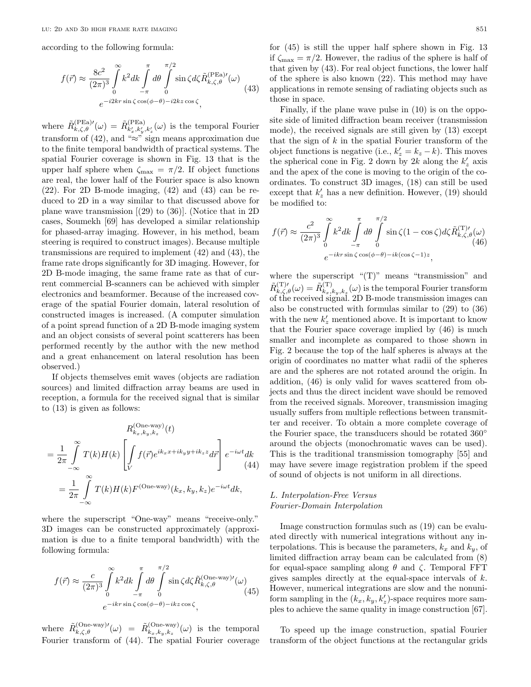according to the following formula:

$$
f(\vec{r}) \approx \frac{8c^2}{(2\pi)^3} \int_0^\infty k^2 dk \int_{-\pi}^{\pi} d\theta \int_0^{\pi/2} \sin \zeta d\zeta \tilde{R}_{k,\zeta,\theta}^{(\text{PEa})\prime}(\omega)
$$
  

$$
e^{-i2kr\sin\zeta\cos(\phi-\theta)-i2kz\cos\zeta},
$$
 (43)

where  $\tilde{R}_{k,\zeta,\theta}^{(\text{PEa})}(\omega) = \tilde{R}_{k'_x,k'_y,k'_z}^{(\text{PEa})}(\omega)$  is the temporal Fourier transform of (42), and " $\approx$ " sign means approximation due to the finite temporal bandwidth of practical systems. The spatial Fourier coverage is shown in Fig. 13 that is the upper half sphere when  $\zeta_{\text{max}} = \pi/2$ . If object functions are real, the lower half of the Fourier space is also known (22). For 2D B-mode imaging, (42) and (43) can be reduced to 2D in a way similar to that discussed above for plane wave transmission [(29) to (36)]. (Notice that in 2D cases, Soumekh [69] has developed a similar relationship for phased-array imaging. However, in his method, beam steering is required to construct images). Because multiple transmissions are required to implement (42) and (43), the frame rate drops significantly for 3D imaging. However, for 2D B-mode imaging, the same frame rate as that of current commercial B-scanners can be achieved with simpler electronics and beamformer. Because of the increased coverage of the spatial Fourier domain, lateral resolution of constructed images is increased. (A computer simulation of a point spread function of a 2D B-mode imaging system and an object consists of several point scatterers has been performed recently by the author with the new method and a great enhancement on lateral resolution has been observed.)

If objects themselves emit waves (objects are radiation sources) and limited diffraction array beams are used in reception, a formula for the received signal that is similar to (13) is given as follows:

$$
R_{k_x, k_y, k_z}^{(\text{One-way})}(t)
$$
  
=  $\frac{1}{2\pi} \int_{-\infty}^{\infty} T(k)H(k) \left[ \int_{V} f(\vec{r}) e^{ik_x x + ik_y y + ik_z z} d\vec{r} \right] e^{-i\omega t} dk$   
=  $\frac{1}{2\pi} \int_{-\infty}^{\infty} T(k)H(k)F^{(\text{One-way})}(k_x, k_y, k_z) e^{-i\omega t} dk$ ,

where the superscript "One-way" means "receive-only." 3D images can be constructed approximately (approximation is due to a finite temporal bandwidth) with the following formula:

$$
f(\vec{r}) \approx \frac{c}{(2\pi)^3} \int_0^\infty k^2 dk \int_{-\pi}^{\pi} d\theta \int_0^{\pi/2} \sin \zeta d\zeta \tilde{R}_{k,\zeta,\theta}^{(\text{One-way})\prime}(\omega)
$$
  

$$
e^{-ikr\sin\zeta \cos(\phi-\theta)-ikz\cos\zeta}, \qquad (45)
$$

where  $\tilde{R}^{(\text{One-way})}_{k,\zeta,\theta}(\omega) = \tilde{R}^{(\text{One-way})}_{k_x,k_y,k_z}(\omega)$  is the temporal Fourier transform of (44). The spatial Fourier coverage

for (45) is still the upper half sphere shown in Fig. 13 if  $\zeta_{\text{max}} = \pi/2$ . However, the radius of the sphere is half of that given by (43). For real object functions, the lower half of the sphere is also known (22). This method may have applications in remote sensing of radiating objects such as those in space.

Finally, if the plane wave pulse in (10) is on the opposite side of limited diffraction beam receiver (transmission mode), the received signals are still given by (13) except that the sign of  $k$  in the spatial Fourier transform of the object functions is negative (i.e.,  $k'_z = k_z - k$ ). This moves the spherical cone in Fig. 2 down by 2k along the  $k'_z$  axis and the apex of the cone is moving to the origin of the coordinates. To construct 3D images, (18) can still be used except that  $k'_z$  has a new definition. However, (19) should be modified to:

$$
f(\vec{r}) \approx \frac{c^2}{(2\pi)^3} \int_0^{\infty} k^2 dk \int_{-\pi}^{\pi} d\theta \int_0^{\pi/2} \sin \zeta (1 - \cos \zeta) d\zeta \tilde{R}_{k,\zeta,\theta}^{(\mathbf{T})\prime}(\omega)
$$
  

$$
e^{-ikr \sin \zeta \cos(\phi - \theta) - ik(\cos \zeta - 1)z},
$$

where the superscript "(T)" means "transmission" and  $\tilde{R}_{k,\zeta,\theta}^{(\mathrm{T})\prime}(\omega)=\tilde{R}_{k_{x},k_{y},k_{z}}^{(\mathrm{T})}(\omega)$  is the temporal Fourier transform of the received signal. 2D B-mode transmission images can also be constructed with formulas similar to (29) to (36) with the new  $k'_z$  mentioned above. It is important to know that the Fourier space coverage implied by (46) is much smaller and incomplete as compared to those shown in Fig. 2 because the top of the half spheres is always at the origin of coordinates no matter what radii of the spheres are and the spheres are not rotated around the origin. In addition, (46) is only valid for waves scattered from objects and thus the direct incident wave should be removed from the received signals. Moreover, transmission imaging usually suffers from multiple reflections between transmitter and receiver. To obtain a more complete coverage of the Fourier space, the transducers should be rotated 360◦ around the objects (monochromatic waves can be used). This is the traditional transmission tomography [55] and may have severe image registration problem if the speed of sound of objects is not uniform in all directions.

# L. Interpolation-Free Versus Fourier-Domain Interpolation

Image construction formulas such as (19) can be evaluated directly with numerical integrations without any interpolations. This is because the parameters,  $k_x$  and  $k_y$ , of limited diffraction array beam can be calculated from (8) for equal-space sampling along  $\theta$  and  $\zeta$ . Temporal FFT gives samples directly at the equal-space intervals of  $k$ . However, numerical integrations are slow and the nonuniform sampling in the  $(k_x, k_y, k_z')$ -space requires more samples to achieve the same quality in image construction [67].

To speed up the image construction, spatial Fourier transform of the object functions at the rectangular grids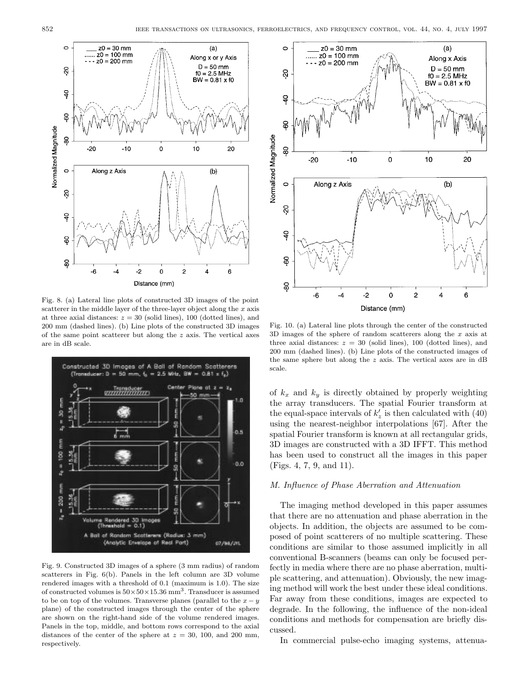

Fig. 8. (a) Lateral line plots of constructed 3D images of the point scatterer in the middle layer of the three-layer object along the  $x$  axis at three axial distances:  $z = 30$  (solid lines), 100 (dotted lines), and 200 mm (dashed lines). (b) Line plots of the constructed 3D images of the same point scatterer but along the  $z$  axis. The vertical axes are in dB scale.



Fig. 9. Constructed 3D images of a sphere (3 mm radius) of random scatterers in Fig. 6(b). Panels in the left column are 3D volume rendered images with a threshold of 0.1 (maximum is 1.0). The size of constructed volumes is  $50 \times 50 \times 15.36$  mm<sup>3</sup>. Transducer is assumed to be on top of the volumes. Transverse planes (parallel to the  $x - y$ plane) of the constructed images through the center of the sphere are shown on the right-hand side of the volume rendered images. Panels in the top, middle, and bottom rows correspond to the axial distances of the center of the sphere at  $z = 30, 100,$  and  $200$  mm, respectively.



Fig. 10. (a) Lateral line plots through the center of the constructed 3D images of the sphere of random scatterers along the x axis at three axial distances:  $z = 30$  (solid lines), 100 (dotted lines), and 200 mm (dashed lines). (b) Line plots of the constructed images of the same sphere but along the z axis. The vertical axes are in dB scale.

of  $k_x$  and  $k_y$  is directly obtained by properly weighting the array transducers. The spatial Fourier transform at the equal-space intervals of  $k'_z$  is then calculated with (40) using the nearest-neighbor interpolations [67]. After the spatial Fourier transform is known at all rectangular grids, 3D images are constructed with a 3D IFFT. This method has been used to construct all the images in this paper (Figs. 4, 7, 9, and 11).

## M. Influence of Phase Aberration and Attenuation

The imaging method developed in this paper assumes that there are no attenuation and phase aberration in the objects. In addition, the objects are assumed to be composed of point scatterers of no multiple scattering. These conditions are similar to those assumed implicitly in all conventional B-scanners (beams can only be focused perfectly in media where there are no phase aberration, multiple scattering, and attenuation). Obviously, the new imaging method will work the best under these ideal conditions. Far away from these conditions, images are expected to degrade. In the following, the influence of the non-ideal conditions and methods for compensation are briefly discussed.

In commercial pulse-echo imaging systems, attenua-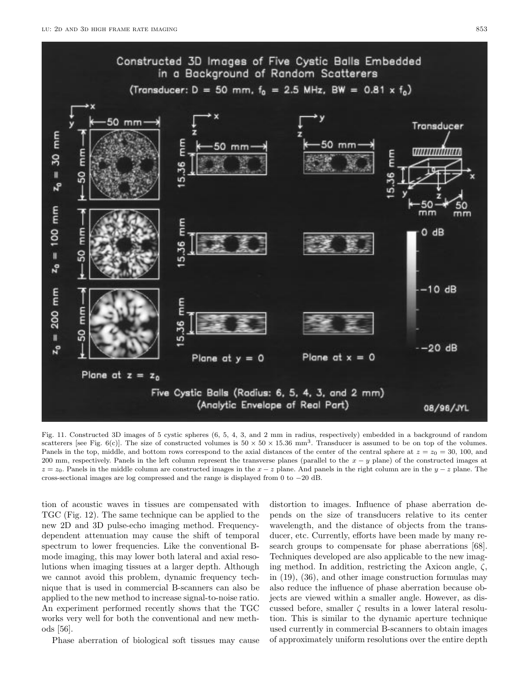

Fig. 11. Constructed 3D images of 5 cystic spheres (6, 5, 4, 3, and 2 mm in radius, respectively) embedded in a background of random scatterers [see Fig. 6(c)]. The size of constructed volumes is  $50 \times 50 \times 15.36$  mm<sup>3</sup>. Transducer is assumed to be on top of the volumes. Panels in the top, middle, and bottom rows correspond to the axial distances of the center of the central sphere at  $z = z_0 = 30, 100,$  and 200 mm, respectively. Panels in the left column represent the transverse planes (parallel to the  $x - y$  plane) of the constructed images at  $z = z_0$ . Panels in the middle column are constructed images in the  $x - z$  plane. And panels in the right column are in the  $y - z$  plane. The cross-sectional images are log compressed and the range is displayed from 0 to −20 dB.

tion of acoustic waves in tissues are compensated with TGC (Fig. 12). The same technique can be applied to the new 2D and 3D pulse-echo imaging method. Frequencydependent attenuation may cause the shift of temporal spectrum to lower frequencies. Like the conventional Bmode imaging, this may lower both lateral and axial resolutions when imaging tissues at a larger depth. Although we cannot avoid this problem, dynamic frequency technique that is used in commercial B-scanners can also be applied to the new method to increase signal-to-noise ratio. An experiment performed recently shows that the TGC works very well for both the conventional and new methods [56].

Phase aberration of biological soft tissues may cause

distortion to images. Influence of phase aberration depends on the size of transducers relative to its center wavelength, and the distance of objects from the transducer, etc. Currently, efforts have been made by many research groups to compensate for phase aberrations [68]. Techniques developed are also applicable to the new imaging method. In addition, restricting the Axicon angle,  $\zeta$ , in (19), (36), and other image construction formulas may also reduce the influence of phase aberration because objects are viewed within a smaller angle. However, as discussed before, smaller  $\zeta$  results in a lower lateral resolution. This is similar to the dynamic aperture technique used currently in commercial B-scanners to obtain images of approximately uniform resolutions over the entire depth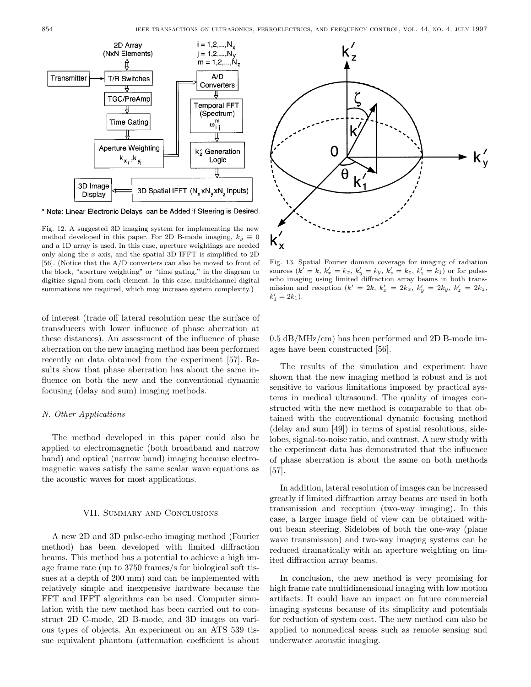

\* Note: Linear Electronic Delays can be Added if Steering is Desired.

Fig. 12. A suggested 3D imaging system for implementing the new method developed in this paper. For 2D B-mode imaging,  $k_y \equiv 0$ and a 1D array is used. In this case, aperture weightings are needed only along the  $x$  axis, and the spatial 3D IFFT is simplified to 2D [56]. (Notice that the A/D converters can also be moved to front of the block, "aperture weighting" or "time gating," in the diagram to digitize signal from each element. In this case, multichannel digital summations are required, which may increase system complexity.)

of interest (trade off lateral resolution near the surface of transducers with lower influence of phase aberration at these distances). An assessment of the influence of phase aberration on the new imaging method has been performed recently on data obtained from the experiment [57]. Results show that phase aberration has about the same influence on both the new and the conventional dynamic focusing (delay and sum) imaging methods.

## N. Other Applications

The method developed in this paper could also be applied to electromagnetic (both broadband and narrow band) and optical (narrow band) imaging because electromagnetic waves satisfy the same scalar wave equations as the acoustic waves for most applications.

#### VII. Summary and Conclusions

A new 2D and 3D pulse-echo imaging method (Fourier method) has been developed with limited diffraction beams. This method has a potential to achieve a high image frame rate (up to 3750 frames/s for biological soft tissues at a depth of 200 mm) and can be implemented with relatively simple and inexpensive hardware because the FFT and IFFT algorithms can be used. Computer simulation with the new method has been carried out to construct 2D C-mode, 2D B-mode, and 3D images on various types of objects. An experiment on an ATS 539 tissue equivalent phantom (attenuation coefficient is about



Fig. 13. Spatial Fourier domain coverage for imaging of radiation sources  $(k' = k, k'_x = k_x, k'_y = k_y, k'_z = k_z, k'_1 = k_1)$  or for pulseecho imaging using limited diffraction array beams in both transmission and reception  $(k' = 2k, k'_x = 2k_x, k'_y = 2k_y, k'_z = 2k_z,$  $k'_1 = 2k_1$ .

0.5 dB/MHz/cm) has been performed and 2D B-mode images have been constructed [56].

The results of the simulation and experiment have shown that the new imaging method is robust and is not sensitive to various limitations imposed by practical systems in medical ultrasound. The quality of images constructed with the new method is comparable to that obtained with the conventional dynamic focusing method (delay and sum [49]) in terms of spatial resolutions, sidelobes, signal-to-noise ratio, and contrast. A new study with the experiment data has demonstrated that the influence of phase aberration is about the same on both methods [57].

In addition, lateral resolution of images can be increased greatly if limited diffraction array beams are used in both transmission and reception (two-way imaging). In this case, a larger image field of view can be obtained without beam steering. Sidelobes of both the one-way (plane wave transmission) and two-way imaging systems can be reduced dramatically with an aperture weighting on limited diffraction array beams.

In conclusion, the new method is very promising for high frame rate multidimensional imaging with low motion artifacts. It could have an impact on future commercial imaging systems because of its simplicity and potentials for reduction of system cost. The new method can also be applied to nonmedical areas such as remote sensing and underwater acoustic imaging.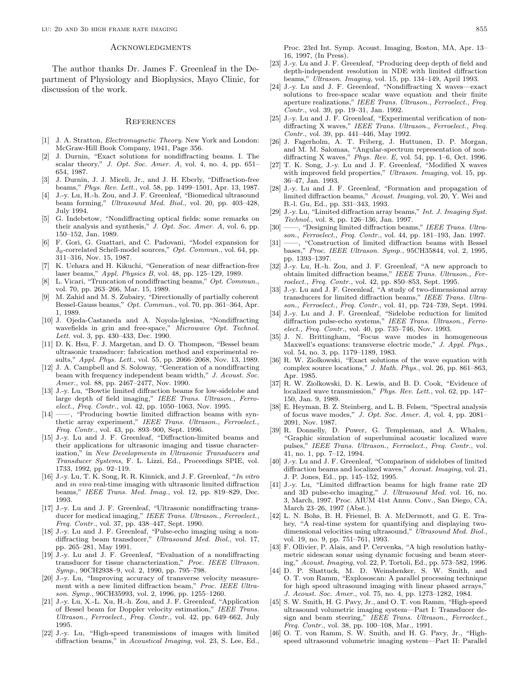#### **ACKNOWLEDGMENTS**

The author thanks Dr. James F. Greenleaf in the Department of Physiology and Biophysics, Mayo Clinic, for discussion of the work.

#### **REFERENCES**

- [1] J. A. Stratton, Electromagnetic Theory. New York and London: McGraw-Hill Book Company, 1941, Page 356.
- [2] J. Durnin, "Exact solutions for nondiffracting beams. I. The scalar theory," J. Opt. Soc. Amer. A, vol. 4, no. 4, pp.  $651-$ 654, 1987.
- [3] J. Durnin, J. J. Miceli, Jr., and J. H. Eberly, "Diffraction-free beams," Phys. Rev. Lett., vol. 58, pp. 1499–1501, Apr. 13, 1987.
- [4] J.-y. Lu, H.-h. Zou, and J. F. Greenleaf, "Biomedical ultrasound beam forming," Ultrasound Med. Biol., vol. 20, pp. 403–428, July 1994.
- [5] G. Indebetow, "Nondiffracting optical fields: some remarks on their analysis and synthesis," J. Opt. Soc. Amer. A, vol. 6, pp. 150–152, Jan. 1989.
- [6] F. Gori, G. Guattari, and C. Padovani, "Model expansion for J0-correlated Schell-model sources," Opt. Commun., vol. 64, pp. 311–316, Nov. 15, 1987.
- [7] K. Uehara and H. Kikuchi, "Generation of near diffraction-free laser beams," Appl. Physics B, vol. 48, pp. 125–129, 1989.
- L. Vicari, "Truncation of nondiffracting beams," Opt. Commun., vol. 70, pp. 263–266, Mar. 15, 1989.
- M. Zahid and M. S. Zubairy, "Directionally of partially coherent Bessel-Gauss beams," Opt. Commun., vol. 70, pp. 361–364, Apr. 1, 1989.
- [10] J. Ojeda-Castaneda and A. Noyola-lglesias, "Nondiffracting wavefields in grin and free-space," Microwave Opt. Technol. Lett. vol. 3, pp. 430-433, Dec. 1990.
- [11] D. K. Hsu, F. J. Margetan, and D. O. Thompson, "Bessel beam ultrasonic transducer: fabrication method and experimental results," Appl. Phys. Lett., vol. 55, pp. 2066–2068, Nov. 13, 1989.
- [12] J. A. Campbell and S. Soloway, "Generation of a nondiffracting beam with frequency independent beam width," J. Acoust. Soc. Amer., vol. 88, pp. 2467–2477, Nov. 1990.
- [13] J.-y. Lu, "Bowtie limited diffraction beams for low-sidelobe and large depth of field imaging," IEEE Trans. Ultrason., Ferroelect., Freq. Contr., vol. 42, pp. 1050–1063, Nov. 1995.
- [14] ——, "Producing bowtie limited diffraction beams with synthetic array experiment," IEEE Trans. Ultrason., Ferroelect., Freq. Contr., vol. 43, pp. 893–900, Sept. 1996.
- [15] J.-y. Lu and J. F. Greenleaf, "Diffraction-limited beams and their applications for ultrasonic imaging and tissue characterization," in New Developments in Ultrasonic Transducers and Transducer Systems, F. L. Lizzi, Ed., Proceedings SPIE, vol. 1733, 1992, pp. 92–119.
- [16] J.-y. Lu, T. K. Song, R. R. Kinnick, and J. F. Greenleaf, "In vitro and in vivo real-time imaging with ultrasonic limited diffraction beams," IEEE Trans. Med. Imag., vol. 12, pp. 819–829, Dec. 1993.
- [17] J.-y. Lu and J. F. Greenleaf, "Ultrasonic nondiffracting transducer for medical imaging," IEEE Trans. Ultrason., Ferroelect., Freq. Contr., vol. 37, pp. 438–447, Sept. 1990.
- [18] J.-y. Lu and J. F. Greenleaf, "Pulse-echo imaging using a nondiffracting beam transducer," Ultrasound Med. Biol., vol. 17, pp. 265–281, May 1991.
- [19] J.-y. Lu and J. F. Greenleaf, "Evaluation of a nondiffracting transducer for tissue characterization," Proc. IEEE Ultrason. Symp., 90CH2938–9, vol. 2, 1990, pp. 795–798.
- [20] J.-y. Lu, "Improving accuracy of transverse velocity measurement with a new limited diffraction beam," Proc. IEEE Ultrason. Symp., 96CH35993, vol. 2, 1996, pp. 1255–1260.
- [21] J.-y. Lu, X.-L. Xu, H.-h. Zou, and J. F. Greenleaf, "Application of Bessel beam for Doppler velocity estimation," IEEE Trans. Ultrason., Ferroelect., Freq. Contr., vol. 42, pp. 649–662, July 1995.
- [22] J.-y. Lu, "High-speed transmissions of images with limited diffraction beams," in Acoustical Imaging, vol. 23, S. Lee, Ed.,

Proc. 23rd Int. Symp. Acoust. Imaging, Boston, MA, Apr. 13– 16, 1997, (In Press).

- [23] J.-y. Lu and J. F. Greenleaf, "Producing deep depth of field and depth-independent resolution in NDE with limited diffraction beams," Ultrason. Imaging, vol. 15, pp. 134–149, April 1993.
- [24] J.-y. Lu and J. F. Greenleaf, "Nondiffracting X waves—exact solutions to free-space scalar wave equation and their finite aperture realizations," IEEE Trans. Ultrason., Ferroelect., Freq. Contr., vol. 39, pp. 19–31, Jan. 1992.
- [25] J.-y. Lu and J. F. Greenleaf, "Experimental verification of nondiffracting X waves," IEEE Trans. Ultrason., Ferroelect., Freq. Contr., vol. 39, pp. 441–446, May 1992.
- [26] J. Fagerholm, A. T. Friberg, J. Huttunen, D. P. Morgan, and M. M. Salomaa, "Angular-spectrum representation of nondiffracting X waves,"  $Phys.$   $Rev.$  E, vol. 54, pp. 1–6, Oct. 1996.
- [27] T. K. Song, J.-y. Lu and J. F. Greenleaf, "Modified X waves with improved field properties," Ultrason. Imaging, vol. 15, pp. 36–47, Jan. 1993.
- [28] J.-y. Lu and J. F. Greenleaf, "Formation and propagation of limited diffraction beams," Acoust. Imaging, vol. 20, Y. Wei and B.-l. Gu, Ed., pp. 331–343, 1993.
- [29] J.-y. Lu, "Limited diffraction array beams," Int. J. Imaging Syst. Technol., vol. 8, pp. 126–136, Jan. 1997.
- [30] ——, "Designing limited diffraction beams," IEEE Trans. Ultrason., Ferroelect., Freq. Contr., vol. 44, pp. 181–193, Jan. 1997.
- [31] ——, "Construction of limited diffraction beams with Bessel bases," Proc. IEEE Ultrason. Symp., 95CH35844, vol. 2, 1995, pp. 1393–1397.
- [32] J.-y. Lu, H.-h. Zou, and J. F. Greenleaf, "A new approach to obtain limited diffraction beams," IEEE Trans. Ultrason., Ferroelect., Freq. Contr., vol. 42, pp. 850–853, Sept. 1995.
- [33] J.-y. Lu and J. F. Greenleaf, "A study of two-dimensional array transducers for limited diffraction beams," IEEE Trans. Ultrason., Ferroelect., Freq. Contr., vol. 41, pp. 724–739, Sept. 1994.
- [34] J.-y. Lu and J. F. Greenleaf, "Sidelobe reduction for limited diffraction pulse-echo systems," IEEE Trans. Ultrason., Ferroelect., Freq. Contr., vol. 40, pp. 735–746, Nov. 1993.
- [35] J. N. Brittingham, "Focus wave modes in homogeneous Maxwell's equations: transverse electric mode," J. Appl. Phys., vol. 54, no. 3, pp. 1179–1189, 1983.
- [36] R. W. Ziolkowski, "Exact solutions of the wave equation with complex source locations," J. Math. Phys., vol. 26, pp. 861–863, Apr. 1985.
- [37] R. W. Ziolkowski, D. K. Lewis, and B. D. Cook, "Evidence of localized wave transmission," Phys. Rev. Lett., vol. 62, pp. 147– 150, Jan. 9, 1989.
- [38] E. Heyman, B. Z. Steinberg, and L. B. Felsen, "Spectral analysis of focus wave modes," J. Opt. Soc. Amer. A, vol. 4, pp. 2081– 2091, Nov. 1987.
- [39] R. Donnelly, D. Power, G. Templeman, and A. Whalen, "Graphic simulation of superluminal acoustic localized wave pulses," IEEE Trans. Ultrason., Ferroelect., Freq. Contr., vol. 41, no. 1, pp. 7–12, 1994.
- [40] J.-y. Lu and J. F. Greenleaf, "Comparison of sidelobes of limited diffraction beams and localized waves," Acoust. Imaging, vol. 21, J. P. Jones, Ed., pp. 145–152, 1995.
- [41] J.-y. Lu, "Limited diffraction beams for high frame rate 2D and 3D pulse-echo imaging," J. Ultrasound Med. vol. 16, no. 3, March, 1997. Proc. AIUM 41st Annu. Conv., San Diego, CA, March 23–26, 1997 (Abst.).
- [42] L. N. Bohs, B. H. Friemel, B. A. McDermott, and G. E. Trahey, "A real-time system for quantifying and displaying twodimensional velocities using ultrasound," Ultrasound Med. Biol., vol. 19, no. 9, pp. 751–761, 1993.
- [43] F. Ollivier, P. Alais, and P. Cervenka, "A high resolution bathymetric sidescan sonar using dynamic focusing and beam steering," Acoust. Imaging, vol. 22, P. Tortoli, Ed., pp. 573–582, 1996.
- [44] D. P. Shattuck, M. D. Weinshenker, S. W. Smith, and O. T. von Ramm, "Explososcan: A parallel processing technique for high speed ultrasound imaging with linear phased arrays," J. Acoust. Soc. Amer., vol. 75, no. 4, pp. 1273–1282, 1984.
- [45] S. W. Smith, H. G. Pavy, Jr., and O. T. von Ramm, "High-speed ultrasound volumetric imaging system—Part I: Transducer design and beam steering," IEEE Trans. Ultrason., Ferroelect., Freq. Contr., vol. 38, pp. 100–108, Mar., 1991.
- [46] O. T. von Ramm, S. W. Smith, and H. G. Pavy, Jr., "Highspeed ultrasound volumetric imaging system—Part II: Parallel